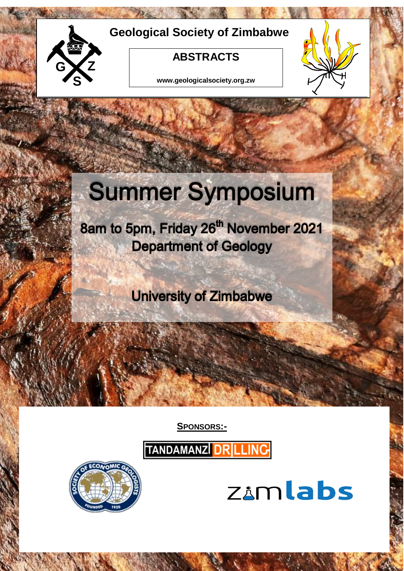

# **Geological Society of Zimbabwe**

## **ABSTRACTS**

**www.geologicalsociety.org.zw**



# **Summer Symposium**

8am to 5pm, Friday 26<sup>th</sup> November 2021 **Department of Geology** 

**University of Zimbabwe** 

**SPONSORS:-** 

TANDAMANZI DRILLING



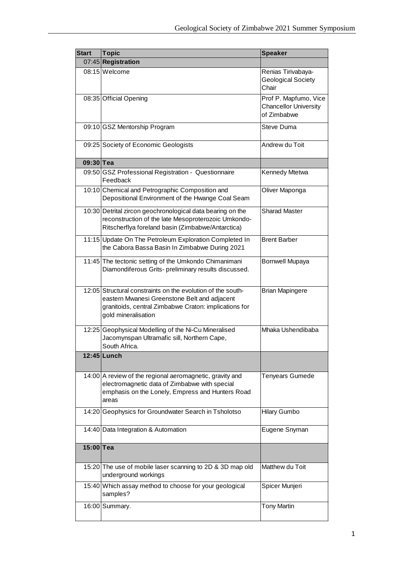| <b>Start</b> | <b>Topic</b>                                                                                                                                                                                | <b>Speaker</b>                                                       |
|--------------|---------------------------------------------------------------------------------------------------------------------------------------------------------------------------------------------|----------------------------------------------------------------------|
|              | 07:45 Registration                                                                                                                                                                          |                                                                      |
|              | 08:15 Welcome                                                                                                                                                                               | Renias Tirivabaya-<br><b>Geological Society</b><br>Chair             |
|              | 08:35 Official Opening                                                                                                                                                                      | Prof P. Mapfumo, Vice<br><b>Chancellor University</b><br>of Zimbabwe |
|              | 09:10 GSZ Mentorship Program                                                                                                                                                                | Steve Duma                                                           |
|              | 09:25 Society of Economic Geologists                                                                                                                                                        | Andrew du Toit                                                       |
| 09:30 Tea    |                                                                                                                                                                                             |                                                                      |
|              | 09:50 GSZ Professional Registration - Questionnaire<br>Feedback                                                                                                                             | Kennedy Mtetwa                                                       |
|              | 10:10 Chemical and Petrographic Composition and<br>Depositional Environment of the Hwange Coal Seam                                                                                         | Oliver Maponga                                                       |
|              | 10:30 Detrital zircon geochronological data bearing on the<br>reconstruction of the late Mesoproterozoic Umkondo-<br>Ritscherflya foreland basin (Zimbabwe/Antarctica)                      | <b>Sharad Master</b>                                                 |
|              | 11:15 Update On The Petroleum Exploration Completed In<br>the Cabora Bassa Basin In Zimbabwe During 2021                                                                                    | <b>Brent Barber</b>                                                  |
|              | 11:45 The tectonic setting of the Umkondo Chimanimani<br>Diamondiferous Grits- preliminary results discussed.                                                                               | <b>Bornwell Mupaya</b>                                               |
|              | 12:05 Structural constraints on the evolution of the south-<br>eastern Mwanesi Greenstone Belt and adjacent<br>granitoids, central Zimbabwe Craton: implications for<br>gold mineralisation | <b>Brian Mapingere</b>                                               |
|              | 12:25 Geophysical Modelling of the Ni-Cu Mineralised<br>Jacomynspan Ultramafic sill, Northern Cape,<br>South Africa.                                                                        | Mhaka Ushendibaba                                                    |
|              | $12:45$ Lunch                                                                                                                                                                               |                                                                      |
|              | 14:00 A review of the regional aeromagnetic, gravity and<br>electromagnetic data of Zimbabwe with special<br>emphasis on the Lonely, Empress and Hunters Road<br>areas                      | Tenyears Gumede                                                      |
|              | 14:20 Geophysics for Groundwater Search in Tsholotso                                                                                                                                        | <b>Hilary Gumbo</b>                                                  |
|              | 14:40 Data Integration & Automation                                                                                                                                                         | Eugene Snyman                                                        |
| 15:00 Tea    |                                                                                                                                                                                             |                                                                      |
|              | 15:20 The use of mobile laser scanning to 2D & 3D map old<br>underground workings                                                                                                           | Matthew du Toit                                                      |
|              | 15:40 Which assay method to choose for your geological<br>samples?                                                                                                                          | Spicer Munjeri                                                       |
|              | 16:00 Summary.                                                                                                                                                                              | <b>Tony Martin</b>                                                   |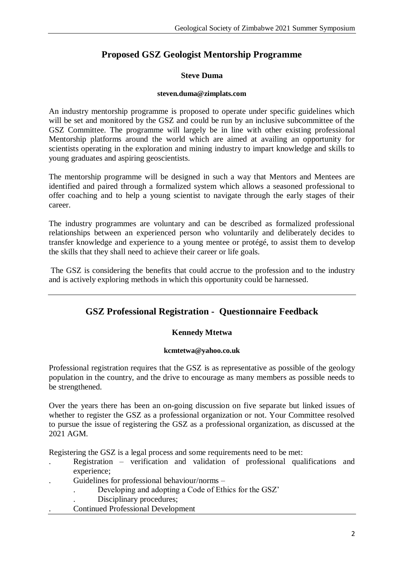## **Proposed GSZ Geologist Mentorship Programme**

## **Steve Duma**

#### **[steven.duma@zimplats.com](mailto:steven.duma@zimplats.com)**

An industry mentorship programme is proposed to operate under specific guidelines which will be set and monitored by the GSZ and could be run by an inclusive subcommittee of the GSZ Committee. The programme will largely be in line with other existing professional Mentorship platforms around the world which are aimed at availing an opportunity for scientists operating in the exploration and mining industry to impart knowledge and skills to young graduates and aspiring geoscientists.

The mentorship programme will be designed in such a way that Mentors and Mentees are identified and paired through a formalized system which allows a seasoned professional to offer coaching and to help a young scientist to navigate through the early stages of their career.

The industry programmes are voluntary and can be described as formalized professional relationships between an experienced person who voluntarily and deliberately decides to transfer knowledge and experience to a young mentee or protégé, to assist them to develop the skills that they shall need to achieve their career or life goals.

The GSZ is considering the benefits that could accrue to the profession and to the industry and is actively exploring methods in which this opportunity could be harnessed.

## **GSZ Professional Registration - Questionnaire Feedback**

## **Kennedy Mtetwa**

#### **[kcmtetwa@yahoo.co.uk](mailto:kcmtetwa@yahoo.co.uk)**

Professional registration requires that the GSZ is as representative as possible of the geology population in the country, and the drive to encourage as many members as possible needs to be strengthened.

Over the years there has been an on-going discussion on five separate but linked issues of whether to register the GSZ as a professional organization or not. Your Committee resolved to pursue the issue of registering the GSZ as a professional organization, as discussed at the 2021 AGM.

Registering the GSZ is a legal process and some requirements need to be met:

- . Registration verification and validation of professional qualifications and experience;
- . Guidelines for professional behaviour/norms
	- . Developing and adopting a Code of Ethics for the GSZ'
	- . Disciplinary procedures;
- . Continued Professional Development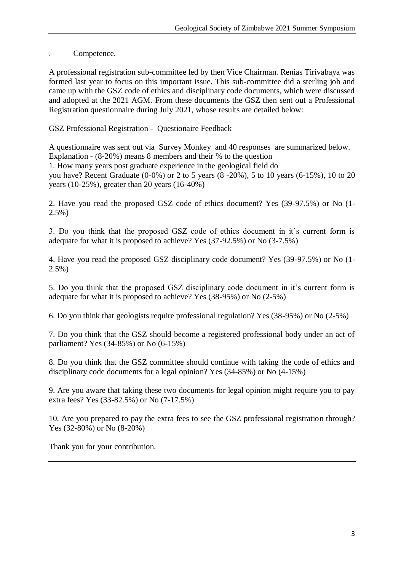. Competence.

A professional registration sub-committee led by then Vice Chairman. Renias Tirivabaya was formed last year to focus on this important issue. This sub-committee did a sterling job and came up with the GSZ code of ethics and disciplinary code documents, which were discussed and adopted at the 2021 AGM. From these documents the GSZ then sent out a Professional Registration questionnaire during July 2021, whose results are detailed below:

GSZ Professional Registration - Questionaire Feedback

A questionnaire was sent out via Survey Monkey and 40 responses are summarized below. Explanation - (8-20%) means 8 members and their % to the question 1. How many years post graduate experience in the geological field do you have? Recent Graduate (0-0%) or 2 to 5 years (8 -20%), 5 to 10 years (6-15%), 10 to 20 years (10-25%), greater than 20 years (16-40%)

2. Have you read the proposed GSZ code of ethics document? Yes (39-97.5%) or No (1- 2.5%)

3. Do you think that the proposed GSZ code of ethics document in it's current form is adequate for what it is proposed to achieve? Yes (37-92.5%) or No (3-7.5%)

4. Have you read the proposed GSZ disciplinary code document? Yes (39-97.5%) or No (1- 2.5%)

5. Do you think that the proposed GSZ disciplinary code document in it's current form is adequate for what it is proposed to achieve? Yes (38-95%) or No (2-5%)

6. Do you think that geologists require professional regulation? Yes (38-95%) or No (2-5%)

7. Do you think that the GSZ should become a registered professional body under an act of parliament? Yes (34-85%) or No (6-15%)

8. Do you think that the GSZ committee should continue with taking the code of ethics and disciplinary code documents for a legal opinion? Yes (34-85%) or No (4-15%)

9. Are you aware that taking these two documents for legal opinion might require you to pay extra fees? Yes (33-82.5%) or No (7-17.5%)

10. Are you prepared to pay the extra fees to see the GSZ professional registration through? Yes (32-80%) or No (8-20%)

Thank you for your contribution.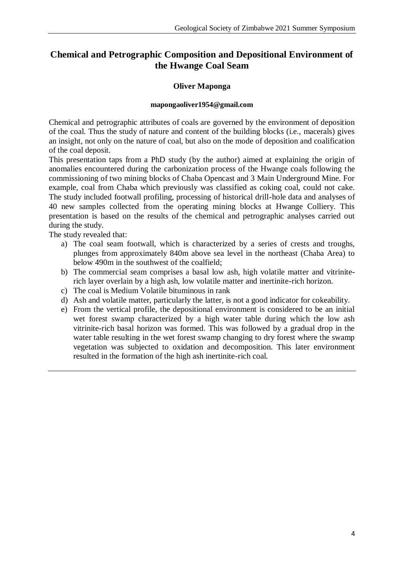## **Chemical and Petrographic Composition and Depositional Environment of the Hwange Coal Seam**

## **Oliver Maponga**

#### **[mapongaoliver1954@gmail.com](mailto:mapongaoliver1954@gmail.com)**

Chemical and petrographic attributes of coals are governed by the environment of deposition of the coal. Thus the study of nature and content of the building blocks (i.e., macerals) gives an insight, not only on the nature of coal, but also on the mode of deposition and coalification of the coal deposit.

This presentation taps from a PhD study (by the author) aimed at explaining the origin of anomalies encountered during the carbonization process of the Hwange coals following the commissioning of two mining blocks of Chaba Opencast and 3 Main Underground Mine. For example, coal from Chaba which previously was classified as coking coal, could not cake. The study included footwall profiling, processing of historical drill-hole data and analyses of 40 new samples collected from the operating mining blocks at Hwange Colliery. This presentation is based on the results of the chemical and petrographic analyses carried out during the study.

The study revealed that:

- a) The coal seam footwall, which is characterized by a series of crests and troughs, plunges from approximately 840m above sea level in the northeast (Chaba Area) to below 490m in the southwest of the coalfield;
- b) The commercial seam comprises a basal low ash, high volatile matter and vitriniterich layer overlain by a high ash, low volatile matter and inertinite-rich horizon.
- c) The coal is Medium Volatile bituminous in rank
- d) Ash and volatile matter, particularly the latter, is not a good indicator for cokeability.
- e) From the vertical profile, the depositional environment is considered to be an initial wet forest swamp characterized by a high water table during which the low ash vitrinite-rich basal horizon was formed. This was followed by a gradual drop in the water table resulting in the wet forest swamp changing to dry forest where the swamp vegetation was subjected to oxidation and decomposition. This later environment resulted in the formation of the high ash inertinite-rich coal.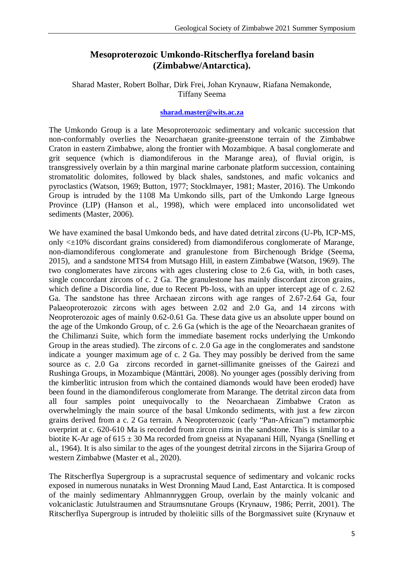## **Mesoproterozoic Umkondo-Ritscherflya foreland basin (Zimbabwe/Antarctica).**

## Sharad Master, Robert Bolhar, Dirk Frei, Johan Krynauw, Riafana Nemakonde, Tiffany Seema

#### **[sharad.master@wits.ac.za](mailto:sharad.master@wits.ac.za)**

The Umkondo Group is a late Mesoproterozoic sedimentary and volcanic succession that non-conformably overlies the Neoarchaean granite-greenstone terrain of the Zimbabwe Craton in eastern Zimbabwe, along the frontier with Mozambique. A basal conglomerate and grit sequence (which is diamondiferous in the Marange area), of fluvial origin, is transgressively overlain by a thin marginal marine carbonate platform succession, containing stromatolitic dolomites, followed by black shales, sandstones, and mafic volcanics and pyroclastics (Watson, 1969; Button, 1977; Stocklmayer, 1981; Master, 2016). The Umkondo Group is intruded by the 1108 Ma Umkondo sills, part of the Umkondo Large Igneous Province (LIP) (Hanson et al., 1998), which were emplaced into unconsolidated wet sediments (Master, 2006).

We have examined the basal Umkondo beds, and have dated detrital zircons (U-Pb, ICP-MS, only <±10% discordant grains considered) from diamondiferous conglomerate of Marange, non-diamondiferous conglomerate and granulestone from Birchenough Bridge (Seema, 2015), and a sandstone MTS4 from Mutsago Hill, in eastern Zimbabwe (Watson, 1969). The two conglomerates have zircons with ages clustering close to 2.6 Ga, with, in both cases, single concordant zircons of c. 2 Ga. The granulestone has mainly discordant zircon grains, which define a Discordia line, due to Recent Pb-loss, with an upper intercept age of c. 2.62 Ga. The sandstone has three Archaean zircons with age ranges of 2.67-2.64 Ga, four Palaeoproterozoic zircons with ages between 2.02 and 2.0 Ga, and 14 zircons with Neoproterozoic ages of mainly 0.62-0.61 Ga. These data give us an absolute upper bound on the age of the Umkondo Group, of c. 2.6 Ga (which is the age of the Neoarchaean granites of the Chilimanzi Suite, which form the immediate basement rocks underlying the Umkondo Group in the areas studied). The zircons of c. 2.0 Ga age in the conglomerates and sandstone indicate a younger maximum age of c. 2 Ga. They may possibly be derived from the same source as c. 2.0 Ga zircons recorded in garnet-sillimanite gneisses of the Gairezi and Rushinga Groups, in Mozambique (Mänttäri, 2008). No younger ages (possibly deriving from the kimberlitic intrusion from which the contained diamonds would have been eroded) have been found in the diamondiferous conglomerate from Marange. The detrital zircon data from all four samples point unequivocally to the Neoarchaean Zimbabwe Craton as overwhelmingly the main source of the basal Umkondo sediments, with just a few zircon grains derived from a c. 2 Ga terrain. A Neoproterozoic (early "Pan-African") metamorphic overprint at c. 620-610 Ma is recorded from zircon rims in the sandstone. This is similar to a biotite K-Ar age of  $615 \pm 30$  Ma recorded from gneiss at Nyapanani Hill, Nyanga (Snelling et al., 1964). It is also similar to the ages of the youngest detrital zircons in the Sijarira Group of western Zimbabwe (Master et al., 2020).

The Ritscherflya Supergroup is a supracrustal sequence of sedimentary and volcanic rocks exposed in numerous nunataks in West Dronning Maud Land, East Antarctica. It is composed of the mainly sedimentary Ahlmannryggen Group, overlain by the mainly volcanic and volcaniclastic Jutulstraumen and Straumsnutane Groups (Krynauw, 1986; Perrit, 2001). The Ritscherflya Supergroup is intruded by tholeiitic sills of the Borgmassivet suite (Krynauw et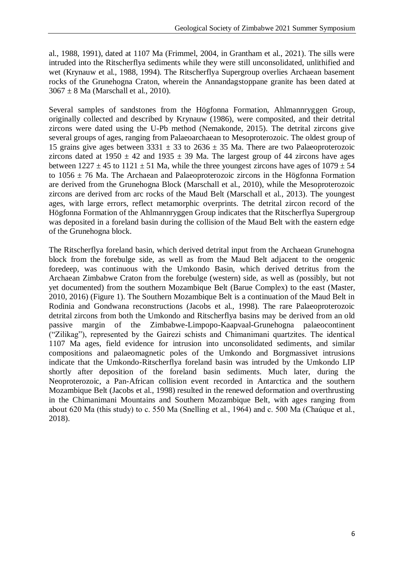al., 1988, 1991), dated at 1107 Ma (Frimmel, 2004, in Grantham et al., 2021). The sills were intruded into the Ritscherflya sediments while they were still unconsolidated, unlithified and wet (Krynauw et al., 1988, 1994). The Ritscherflya Supergroup overlies Archaean basement rocks of the Grunehogna Craton, wherein the Annandagstoppane granite has been dated at  $3067 \pm 8$  Ma (Marschall et al., 2010).

Several samples of sandstones from the Högfonna Formation, Ahlmannryggen Group, originally collected and described by Krynauw (1986), were composited, and their detrital zircons were dated using the U-Pb method (Nemakonde, 2015). The detrital zircons give several groups of ages, ranging from Palaeoarchaean to Mesoproterozoic. The oldest group of 15 grains give ages between  $3331 \pm 33$  to  $2636 \pm 35$  Ma. There are two Palaeoproterozoic zircons dated at  $1950 \pm 42$  and  $1935 \pm 39$  Ma. The largest group of 44 zircons have ages between  $1227 \pm 45$  to  $1121 \pm 51$  Ma, while the three youngest zircons have ages of  $1079 \pm 54$ to  $1056 \pm 76$  Ma. The Archaean and Palaeoproterozoic zircons in the Högfonna Formation are derived from the Grunehogna Block (Marschall et al., 2010), while the Mesoproterozoic zircons are derived from arc rocks of the Maud Belt (Marschall et al., 2013). The youngest ages, with large errors, reflect metamorphic overprints. The detrital zircon record of the Högfonna Formation of the Ahlmannryggen Group indicates that the Ritscherflya Supergroup was deposited in a foreland basin during the collision of the Maud Belt with the eastern edge of the Grunehogna block.

The Ritscherflya foreland basin, which derived detrital input from the Archaean Grunehogna block from the forebulge side, as well as from the Maud Belt adjacent to the orogenic foredeep, was continuous with the Umkondo Basin, which derived detritus from the Archaean Zimbabwe Craton from the forebulge (western) side, as well as (possibly, but not yet documented) from the southern Mozambique Belt (Barue Complex) to the east (Master, 2010, 2016) (Figure 1). The Southern Mozambique Belt is a continuation of the Maud Belt in Rodinia and Gondwana reconstructions (Jacobs et al., 1998). The rare Palaeoproterozoic detrital zircons from both the Umkondo and Ritscherflya basins may be derived from an old passive margin of the Zimbabwe-Limpopo-Kaapvaal-Grunehogna palaeocontinent ("Zilikag"), represented by the Gairezi schists and Chimanimani quartzites. The identical 1107 Ma ages, field evidence for intrusion into unconsolidated sediments, and similar compositions and palaeomagnetic poles of the Umkondo and Borgmassivet intrusions indicate that the Umkondo-Ritscherflya foreland basin was intruded by the Umkondo LIP shortly after deposition of the foreland basin sediments. Much later, during the Neoproterozoic, a Pan-African collision event recorded in Antarctica and the southern Mozambique Belt (Jacobs et al., 1998) resulted in the renewed deformation and overthrusting in the Chimanimani Mountains and Southern Mozambique Belt, with ages ranging from about 620 Ma (this study) to c. 550 Ma (Snelling et al., 1964) and c. 500 Ma (Chaúque et al., 2018).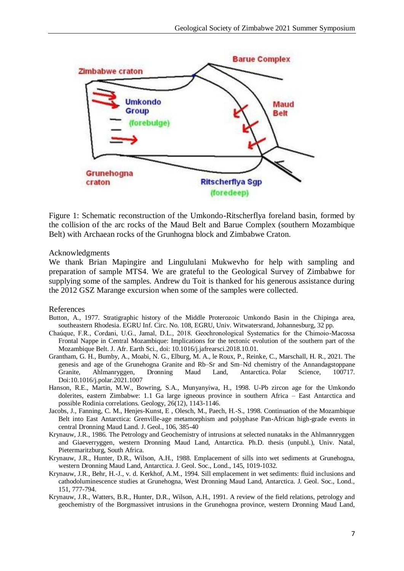

Figure 1: Schematic reconstruction of the Umkondo-Ritscherflya foreland basin, formed by the collision of the arc rocks of the Maud Belt and Barue Complex (southern Mozambique Belt) with Archaean rocks of the Grunhogna block and Zimbabwe Craton.

#### Acknowledgments

We thank Brian Mapingire and Lingululani Mukwevho for help with sampling and preparation of sample MTS4. We are grateful to the Geological Survey of Zimbabwe for supplying some of the samples. Andrew du Toit is thanked for his generous assistance during the 2012 GSZ Marange excursion when some of the samples were collected.

#### References

- Button, A., 1977. Stratigraphic history of the Middle Proterozoic Umkondo Basin in the Chipinga area, southeastern Rhodesia. EGRU Inf. Circ. No. 108, EGRU, Univ. Witwatersrand, Johannesburg, 32 pp.
- Chaúque, F.R., Cordani, U.G., Jamal, D.L., 2018. Geochronological Systematics for the Chimoio-Macossa Frontal Nappe in Central Mozambique: Implications for the tectonic evolution of the southern part of the Mozambique Belt. J. Afr. Earth Sci., doi: 10.1016/j.jafrearsci.2018.10.01.
- Grantham, G. H., Bumby, A., Moabi, N. G., Elburg, M. A., le Roux, P., Reinke, C., Marschall, H. R., 2021. The genesis and age of the Grunehogna Granite and Rb–Sr and Sm–Nd chemistry of the Annandagstoppane Granite, Ahlmanryggen, Dronning Maud Land, Antarctica. Polar Science, 100717. Doi:10.1016/j.polar.2021.1007
- Hanson, R.E., Martin, M.W., Bowring, S.A., Munyanyiwa, H., 1998. U-Pb zircon age for the Umkondo dolerites, eastern Zimbabwe: 1.1 Ga large igneous province in southern Africa – East Antarctica and possible Rodinia correlations. Geology, 26(12), 1143-1146.
- Jacobs, J., Fanning, C. M., Henjes-Kunst, E , Olesch, M., Paech, H.-S., 1998. Continuation of the Mozambique Belt into East Antarctica: Grenville-age metamorphism and polyphase Pan-African high-grade events in central Dronning Maud Land. J. Geol., 106, 385-40
- Krynauw, J.R., 1986. The Petrology and Geochemistry of intrusions at selected nunataks in the Ahlmannryggen and Giaeverryggen, western Dronning Maud Land, Antarctica. Ph.D. thesis (unpubl.), Univ. Natal, Pietermaritzburg, South Africa.
- Krynauw, J.R., Hunter, D.R., Wilson, A.H., 1988. Emplacement of sills into wet sediments at Grunehogna, western Dronning Maud Land, Antarctica. J. Geol. Soc., Lond., 145, 1019-1032.
- Krynauw, J.R., Behr, H.-J., v. d. Kerkhof, A.M., 1994. Sill emplacement in wet sediments: fluid inclusions and cathodoluminescence studies at Grunehogna, West Dronning Maud Land, Antarctica. J. Geol. Soc., Lond., 151, 777-794.
- Krynauw, J.R., Watters, B.R., Hunter, D.R., Wilson, A.H., 1991. A review of the field relations, petrology and geochemistry of the Borgmassivet intrusions in the Grunehogna province, western Dronning Maud Land,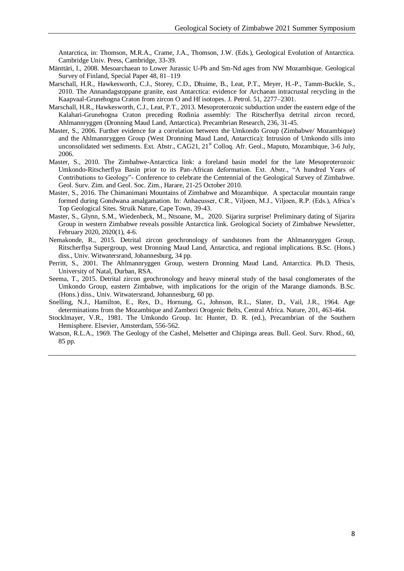Antarctica, in: Thomson, M.R.A., Crame, J.A., Thomson, J.W. (Eds.), Geological Evolution of Antarctica. Cambridge Univ. Press, Cambridge, 33-39.

- Mänttäri, I., 2008. Mesoarchaean to Lower Jurassic U-Pb and Sm-Nd ages from NW Mozambique. Geological Survey of Finland, Special Paper 48, 81–119
- Marschall, H.R., Hawkesworth, C.J., Storey, C.D., Dhuime, B., Leat, P.T., Meyer, H.-P., Tamm-Buckle, S., 2010. The Annandagstoppane granite, east Antarctica: evidence for Archaean intracrustal recycling in the Kaapvaal-Grunehogna Craton from zircon O and Hf isotopes. J. Petrol. 51, 2277–2301.
- Marschall, H.R., Hawkesworth, C.J., Leat, P.T., 2013. Mesoproterozoic subduction under the eastern edge of the Kalahari-Grunehogna Craton preceding Rodinia assembly: The Ritscherflya detrital zircon record, Ahlmannryggen (Dronning Maud Land, Antarctica). Precambrian Research, 236, 31-45.
- Master, S., 2006. Further evidence for a correlation between the Umkondo Group (Zimbabwe/ Mozambique) and the Ahlmannryggen Group (West Dronning Maud Land, Antarctica): Intrusion of Umkondo sills into unconsolidated wet sediments. Ext. Abstr., CAG21, 21<sup>st</sup> Colloq. Afr. Geol., Maputo, Mozambique, 3-6 July, 2006.
- Master, S., 2010. The Zimbabwe-Antarctica link: a foreland basin model for the late Mesoproterozoic Umkondo-Ritscherflya Basin prior to its Pan-African deformation. Ext. Abstr., "A hundred Years of Contributions to Geology"- Conference to celebrate the Centennial of the Geological Survey of Zimbabwe. Geol. Surv. Zim. and Geol. Soc. Zim., Harare, 21-25 October 2010.
- Master, S., 2016. The Chimanimani Mountains of Zimbabwe and Mozambique. A spectacular mountain range formed during Gondwana amalgamation. In: Anhaeusser, C.R., Viljoen, M.J., Viljoen, R.P. (Eds.), Africa's Top Geological Sites. Struik Nature, Cape Town, 39-43.
- Master, S., Glynn, S.M., Wiedenbeck, M., Ntsoane, M., 2020. Sijarira surprise! Preliminary dating of Sijarira Group in western Zimbabwe reveals possible Antarctica link. Geological Society of Zimbabwe Newsletter, February 2020, 2020(1), 4-6.
- Nemakonde, R., 2015. Detrital zircon geochronology of sandstones from the Ahlmannryggen Group, Ritscherflya Supergroup, west Dronning Maud Land, Antarctica, and regional implications. B.Sc. (Hons.) diss., Univ. Witwatersrand, Johannesburg, 34 pp.
- Perritt, S., 2001. The Ahlmannryggen Group, western Dronning Maud Land, Antarctica. Ph.D. Thesis, University of Natal, Durban, RSA.
- Seema, T., 2015. Detrital zircon geochronology and heavy mineral study of the basal conglomerates of the Umkondo Group, eastern Zimbabwe, with implications for the origin of the Marange diamonds. B.Sc. (Hons.) diss., Univ. Witwatersrand, Johannesburg, 60 pp.
- Snelling, N.J., Hamilton, E., Rex, D., Hornung, G., Johnson, R.L., Slater, D., Vail, J.R., 1964. Age determinations from the Mozambique and Zambezi Orogenic Belts, Central Africa. Nature, 201, 463-464.
- Stocklmayer, V.R., 1981. The Umkondo Group. In: Hunter, D. R. (ed.), Precambrian of the Southern Hemisphere. Elsevier, Amsterdam, 556-562.
- Watson, R.L.A., 1969. The Geology of the Cashel, Melsetter and Chipinga areas. Bull. Geol. Sury. Rhod., 60, 85 pp.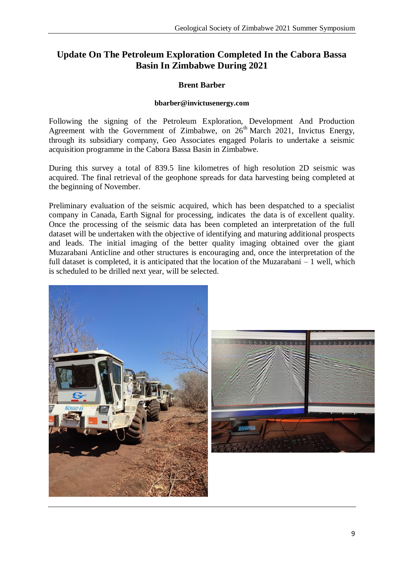## **Update On The Petroleum Exploration Completed In the Cabora Bassa Basin In Zimbabwe During 2021**

## **Brent Barber**

#### **[bbarber@invictusenergy.com](mailto:bbarber@invictusenergy.com)**

Following the signing of the Petroleum Exploration, Development And Production Agreement with the Government of Zimbabwe, on  $26<sup>th</sup>$  March 2021, Invictus Energy, through its subsidiary company, Geo Associates engaged Polaris to undertake a seismic acquisition programme in the Cabora Bassa Basin in Zimbabwe.

During this survey a total of 839.5 line kilometres of high resolution 2D seismic was acquired. The final retrieval of the geophone spreads for data harvesting being completed at the beginning of November.

Preliminary evaluation of the seismic acquired, which has been despatched to a specialist company in Canada, Earth Signal for processing, indicates the data is of excellent quality. Once the processing of the seismic data has been completed an interpretation of the full dataset will be undertaken with the objective of identifying and maturing additional prospects and leads. The initial imaging of the better quality imaging obtained over the giant Muzarabani Anticline and other structures is encouraging and, once the interpretation of the full dataset is completed, it is anticipated that the location of the Muzarabani – 1 well, which is scheduled to be drilled next year, will be selected.

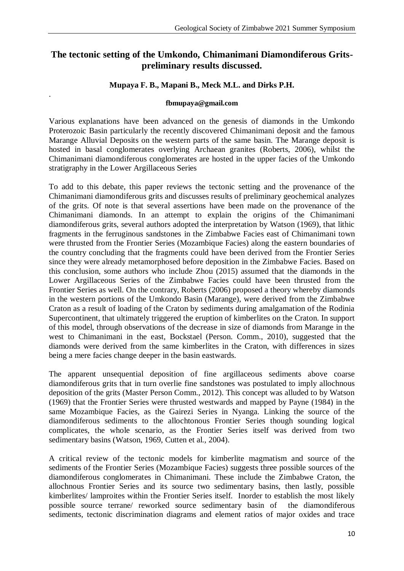## **The tectonic setting of the Umkondo, Chimanimani Diamondiferous Gritspreliminary results discussed.**

## **Mupaya F. B., Mapani B., Meck M.L. and Dirks P.H.**

#### **[fbmupaya@gmail.com](mailto:fbmupaya@gmail.com)**

.

Various explanations have been advanced on the genesis of diamonds in the Umkondo Proterozoic Basin particularly the recently discovered Chimanimani deposit and the famous Marange Alluvial Deposits on the western parts of the same basin. The Marange deposit is hosted in basal conglomerates overlying Archaean granites (Roberts, 2006), whilst the Chimanimani diamondiferous conglomerates are hosted in the upper facies of the Umkondo stratigraphy in the Lower Argillaceous Series

To add to this debate, this paper reviews the tectonic setting and the provenance of the Chimanimani diamondiferous grits and discusses results of preliminary geochemical analyzes of the grits. Of note is that several assertions have been made on the provenance of the Chimanimani diamonds. In an attempt to explain the origins of the Chimanimani diamondiferous grits, several authors adopted the interpretation by Watson (1969), that lithic fragments in the ferruginous sandstones in the Zimbabwe Facies east of Chimanimani town were thrusted from the Frontier Series (Mozambique Facies) along the eastern boundaries of the country concluding that the fragments could have been derived from the Frontier Series since they were already metamorphosed before deposition in the Zimbabwe Facies. Based on this conclusion, some authors who include Zhou (2015) assumed that the diamonds in the Lower Argillaceous Series of the Zimbabwe Facies could have been thrusted from the Frontier Series as well. On the contrary, Roberts (2006) proposed a theory whereby diamonds in the western portions of the Umkondo Basin (Marange), were derived from the Zimbabwe Craton as a result of loading of the Craton by sediments during amalgamation of the Rodinia Supercontinent, that ultimately triggered the eruption of kimberlites on the Craton. In support of this model, through observations of the decrease in size of diamonds from Marange in the west to Chimanimani in the east, Bockstael (Person. Comm., 2010), suggested that the diamonds were derived from the same kimberlites in the Craton, with differences in sizes being a mere facies change deeper in the basin eastwards.

The apparent unsequential deposition of fine argillaceous sediments above coarse diamondiferous grits that in turn overlie fine sandstones was postulated to imply allochnous deposition of the grits (Master Person Comm., 2012). This concept was alluded to by Watson (1969) that the Frontier Series were thrusted westwards and mapped by Payne (1984) in the same Mozambique Facies, as the Gairezi Series in Nyanga. Linking the source of the diamondiferous sediments to the allochtonous Frontier Series though sounding logical complicates, the whole scenario, as the Frontier Series itself was derived from two sedimentary basins (Watson, 1969, Cutten et al., 2004).

A critical review of the tectonic models for kimberlite magmatism and source of the sediments of the Frontier Series (Mozambique Facies) suggests three possible sources of the diamondiferous conglomerates in Chimanimani. These include the Zimbabwe Craton, the allochnous Frontier Series and its source two sedimentary basins, then lastly, possible kimberlites/ lamproites within the Frontier Series itself. Inorder to establish the most likely possible source terrane/ reworked source sedimentary basin of the diamondiferous sediments, tectonic discrimination diagrams and element ratios of major oxides and trace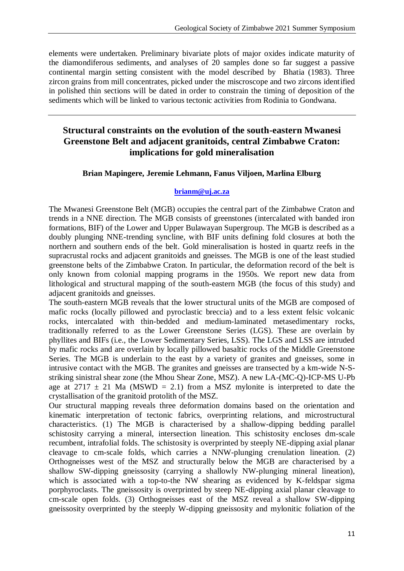elements were undertaken. Preliminary bivariate plots of major oxides indicate maturity of the diamondiferous sediments, and analyses of 20 samples done so far suggest a passive continental margin setting consistent with the model described by Bhatia (1983). Three zircon grains from mill concentrates, picked under the miscroscope and two zircons identified in polished thin sections will be dated in order to constrain the timing of deposition of the sediments which will be linked to various tectonic activities from Rodinia to Gondwana.

## **Structural constraints on the evolution of the south-eastern Mwanesi Greenstone Belt and adjacent granitoids, central Zimbabwe Craton: implications for gold mineralisation**

## **Brian Mapingere, Jeremie Lehmann, Fanus Viljoen, Marlina Elburg**

#### **[brianm@uj.ac.za](mailto:brianm@uj.ac.za)**

The Mwanesi Greenstone Belt (MGB) occupies the central part of the Zimbabwe Craton and trends in a NNE direction. The MGB consists of greenstones (intercalated with banded iron formations, BIF) of the Lower and Upper Bulawayan Supergroup. The MGB is described as a doubly plunging NNE-trending syncline, with BIF units defining fold closures at both the northern and southern ends of the belt. Gold mineralisation is hosted in quartz reefs in the supracrustal rocks and adjacent granitoids and gneisses. The MGB is one of the least studied greenstone belts of the Zimbabwe Craton. In particular, the deformation record of the belt is only known from colonial mapping programs in the 1950s. We report new data from lithological and structural mapping of the south-eastern MGB (the focus of this study) and adjacent granitoids and gneisses.

The south-eastern MGB reveals that the lower structural units of the MGB are composed of mafic rocks (locally pillowed and pyroclastic breccia) and to a less extent felsic volcanic rocks, intercalated with thin-bedded and medium-laminated metasedimentary rocks, traditionally referred to as the Lower Greenstone Series (LGS). These are overlain by phyllites and BIFs (i.e., the Lower Sedimentary Series, LSS). The LGS and LSS are intruded by mafic rocks and are overlain by locally pillowed basaltic rocks of the Middle Greenstone Series. The MGB is underlain to the east by a variety of granites and gneisses, some in intrusive contact with the MGB. The granites and gneisses are transected by a km-wide N-Sstriking sinistral shear zone (the Mhou Shear Zone, MSZ). A new LA-(MC-Q)-ICP-MS U-Pb age at  $2717 \pm 21$  Ma (MSWD = 2.1) from a MSZ mylonite is interpreted to date the crystallisation of the granitoid protolith of the MSZ.

Our structural mapping reveals three deformation domains based on the orientation and kinematic interpretation of tectonic fabrics, overprinting relations, and microstructural characteristics. (1) The MGB is characterised by a shallow-dipping bedding parallel schistosity carrying a mineral, intersection lineation. This schistosity encloses dm-scale recumbent, intrafolial folds. The schistosity is overprinted by steeply NE-dipping axial planar cleavage to cm-scale folds, which carries a NNW-plunging crenulation lineation. (2) Orthogneisses west of the MSZ and structurally below the MGB are characterised by a shallow SW-dipping gneissosity (carrying a shallowly NW-plunging mineral lineation), which is associated with a top-to-the NW shearing as evidenced by K-feldspar sigma porphyroclasts. The gneissosity is overprinted by steep NE-dipping axial planar cleavage to cm-scale open folds. (3) Orthogneisses east of the MSZ reveal a shallow SW-dipping gneissosity overprinted by the steeply W-dipping gneissosity and mylonitic foliation of the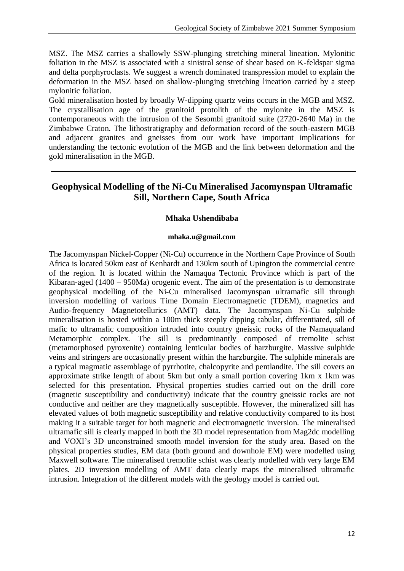MSZ. The MSZ carries a shallowly SSW-plunging stretching mineral lineation. Mylonitic foliation in the MSZ is associated with a sinistral sense of shear based on K-feldspar sigma and delta porphyroclasts. We suggest a wrench dominated transpression model to explain the deformation in the MSZ based on shallow-plunging stretching lineation carried by a steep mylonitic foliation.

Gold mineralisation hosted by broadly W-dipping quartz veins occurs in the MGB and MSZ. The crystallisation age of the granitoid protolith of the mylonite in the MSZ is contemporaneous with the intrusion of the Sesombi granitoid suite (2720-2640 Ma) in the Zimbabwe Craton. The lithostratigraphy and deformation record of the south-eastern MGB and adjacent granites and gneisses from our work have important implications for understanding the tectonic evolution of the MGB and the link between deformation and the gold mineralisation in the MGB.

## **Geophysical Modelling of the Ni-Cu Mineralised Jacomynspan Ultramafic Sill, Northern Cape, South Africa**

### **Mhaka Ushendibaba**

#### **[mhaka.u@gmail.com](mailto:mhaka.u@gmail.com)**

The Jacomynspan Nickel-Copper (Ni-Cu) occurrence in the Northern Cape Province of South Africa is located 50km east of Kenhardt and 130km south of Upington the commercial centre of the region. It is located within the Namaqua Tectonic Province which is part of the Kibaran-aged (1400 – 950Ma) orogenic event. The aim of the presentation is to demonstrate geophysical modelling of the Ni-Cu mineralised Jacomynspan ultramafic sill through inversion modelling of various Time Domain Electromagnetic (TDEM), magnetics and Audio-frequency Magnetotellurics (AMT) data. The Jacomynspan Ni-Cu sulphide mineralisation is hosted within a 100m thick steeply dipping tabular, differentiated, sill of mafic to ultramafic composition intruded into country gneissic rocks of the Namaqualand Metamorphic complex. The sill is predominantly composed of tremolite schist (metamorphosed pyroxenite) containing lenticular bodies of harzburgite. Massive sulphide veins and stringers are occasionally present within the harzburgite. The sulphide minerals are a typical magmatic assemblage of pyrrhotite, chalcopyrite and pentlandite. The sill covers an approximate strike length of about 5km but only a small portion covering 1km x 1km was selected for this presentation. Physical properties studies carried out on the drill core (magnetic susceptibility and conductivity) indicate that the country gneissic rocks are not conductive and neither are they magnetically susceptible. However, the mineralized sill has elevated values of both magnetic susceptibility and relative conductivity compared to its host making it a suitable target for both magnetic and electromagnetic inversion. The mineralised ultramafic sill is clearly mapped in both the 3D model representation from Mag2dc modelling and VOXI's 3D unconstrained smooth model inversion for the study area. Based on the physical properties studies, EM data (both ground and downhole EM) were modelled using Maxwell software. The mineralised tremolite schist was clearly modelled with very large EM plates. 2D inversion modelling of AMT data clearly maps the mineralised ultramafic intrusion. Integration of the different models with the geology model is carried out.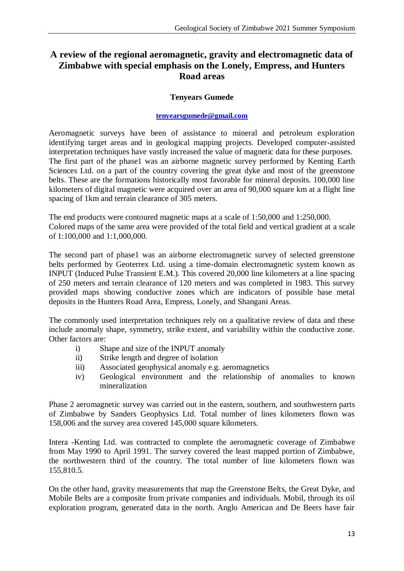## **A review of the regional aeromagnetic, gravity and electromagnetic data of Zimbabwe with special emphasis on the Lonely, Empress, and Hunters Road areas**

### **Tenyears Gumede**

#### **[tenyearsgumede@gmail.com](mailto:tenyearsgumede@gmail.com)**

Aeromagnetic surveys have been of assistance to mineral and petroleum exploration identifying target areas and in geological mapping projects. Developed computer-assisted interpretation techniques have vastly increased the value of magnetic data for these purposes. The first part of the phase1 was an airborne magnetic survey performed by Kenting Earth Sciences Ltd. on a part of the country covering the great dyke and most of the greenstone belts. These are the formations historically most favorable for mineral deposits. 100,000 line kilometers of digital magnetic were acquired over an area of 90,000 square km at a flight line spacing of 1km and terrain clearance of 305 meters.

The end products were contoured magnetic maps at a scale of 1:50,000 and 1:250,000. Colored maps of the same area were provided of the total field and vertical gradient at a scale of 1:100,000 and 1:1,000,000.

The second part of phase1 was an airborne electromagnetic survey of selected greenstone belts performed by Geoterrex Ltd. using a time-domain electromagnetic system known as INPUT (Induced Pulse Transient E.M.). This covered 20,000 line kilometers at a line spacing of 250 meters and terrain clearance of 120 meters and was completed in 1983. This survey provided maps showing conductive zones which are indicators of possible base metal deposits in the Hunters Road Area, Empress, Lonely, and Shangani Areas.

The commonly used interpretation techniques rely on a qualitative review of data and these include anomaly shape, symmetry, strike extent, and variability within the conductive zone. Other factors are:

- i) Shape and size of the INPUT anomaly
- ii) Strike length and degree of isolation
- iii) Associated geophysical anomaly e.g. aeromagnetics
- iv) Geological environment and the relationship of anomalies to known mineralization

Phase 2 aeromagnetic survey was carried out in the eastern, southern, and southwestern parts of Zimbabwe by Sanders Geophysics Ltd. Total number of lines kilometers flown was 158,006 and the survey area covered 145,000 square kilometers.

Intera -Kenting Ltd. was contracted to complete the aeromagnetic coverage of Zimbabwe from May 1990 to April 1991. The survey covered the least mapped portion of Zimbabwe, the northwestern third of the country. The total number of line kilometers flown was 155,810.5.

On the other hand, gravity measurements that map the Greenstone Belts, the Great Dyke, and Mobile Belts are a composite from private companies and individuals. Mobil, through its oil exploration program, generated data in the north. Anglo American and De Beers have fair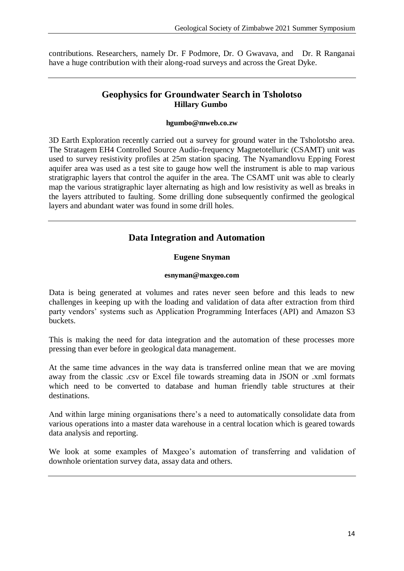contributions. Researchers, namely Dr. F Podmore, Dr. O Gwavava, and Dr. R Ranganai have a huge contribution with their along-road surveys and across the Great Dyke.

## **Geophysics for Groundwater Search in Tsholotso Hillary Gumbo**

#### **hgumbo@mweb.co.zw**

3D Earth Exploration recently carried out a survey for ground water in the Tsholotsho area. The Stratagem EH4 Controlled Source Audio-frequency Magnetotelluric (CSAMT) unit was used to survey resistivity profiles at 25m station spacing. The Nyamandlovu Epping Forest aquifer area was used as a test site to gauge how well the instrument is able to map various stratigraphic layers that control the aquifer in the area. The CSAMT unit was able to clearly map the various stratigraphic layer alternating as high and low resistivity as well as breaks in the layers attributed to faulting. Some drilling done subsequently confirmed the geological layers and abundant water was found in some drill holes.

## **Data Integration and Automation**

### **Eugene Snyman**

#### **esnyman@maxgeo.com**

Data is being generated at volumes and rates never seen before and this leads to new challenges in keeping up with the loading and validation of data after extraction from third party vendors' systems such as Application Programming Interfaces (API) and Amazon S3 buckets.

This is making the need for data integration and the automation of these processes more pressing than ever before in geological data management.

At the same time advances in the way data is transferred online mean that we are moving away from the classic .csv or Excel file towards streaming data in JSON or .xml formats which need to be converted to database and human friendly table structures at their destinations.

And within large mining organisations there's a need to automatically consolidate data from various operations into a master data warehouse in a central location which is geared towards data analysis and reporting.

We look at some examples of Maxgeo's automation of transferring and validation of downhole orientation survey data, assay data and others.